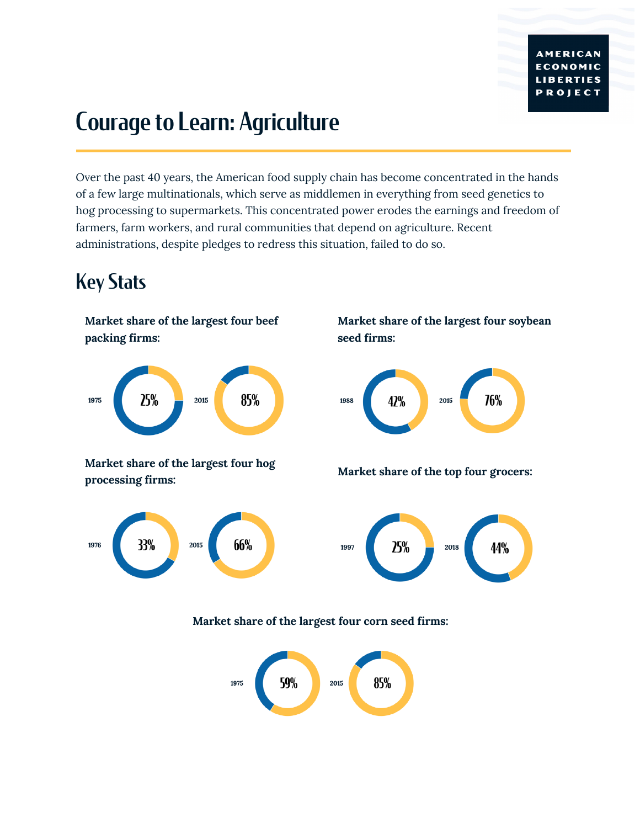# Courage to Learn: Agriculture

Over the past 40 years, the American food supply chain has become concentrated in the hands of a few large multinationals, which serve as middlemen in everything from seed genetics to hog processing to supermarkets. This concentrated power erodes the earnings and freedom of farmers, farm workers, and rural communities that depend on agriculture. Recent administrations, despite pledges to redress this situation, failed to do so.

#### Key Stats

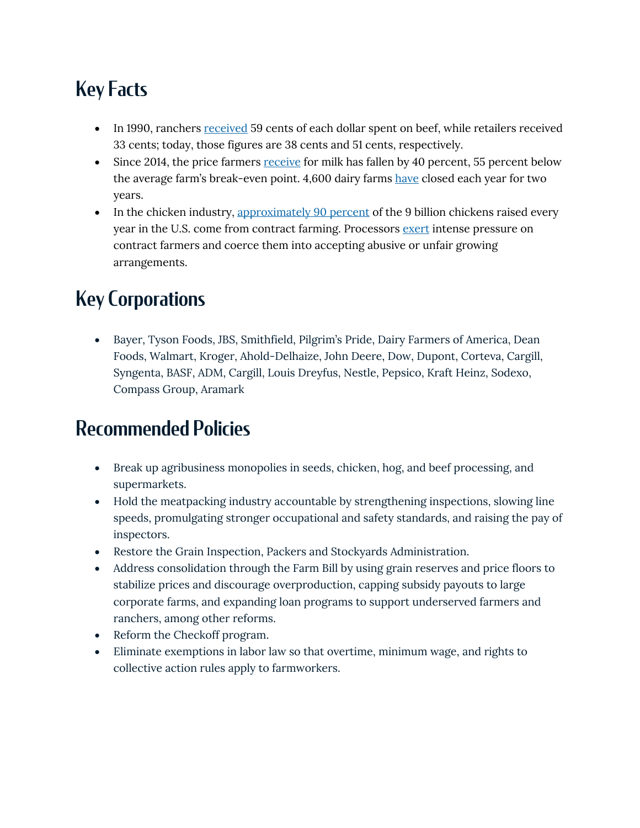## Key Facts

- In 1990, ranchers received 59 cents of each dollar spent on beef, while retailers received 33 cents; today, those figures are 38 cents and 51 cents, respectively.
- Since 2014, the price farmers receive for milk has fallen by 40 percent, 55 percent below the average farm's break-even point. 4,600 dairy farms have closed each year for two years.
- In the chicken industry, approximately 90 percent of the 9 billion chickens raised every year in the U.S. come from contract farming. Processors exert intense pressure on contract farmers and coerce them into accepting abusive or unfair growing arrangements.

#### Key Corporations

• Bayer, Tyson Foods, JBS, Smithfield, Pilgrim's Pride, Dairy Farmers of America, Dean Foods, Walmart, Kroger, Ahold-Delhaize, John Deere, Dow, Dupont, Corteva, Cargill, Syngenta, BASF, ADM, Cargill, Louis Dreyfus, Nestle, Pepsico, Kraft Heinz, Sodexo, Compass Group, Aramark

#### Recommended Policies

- Break up agribusiness monopolies in seeds, chicken, hog, and beef processing, and supermarkets.
- Hold the meatpacking industry accountable by strengthening inspections, slowing line speeds, promulgating stronger occupational and safety standards, and raising the pay of inspectors.
- Restore the Grain Inspection, Packers and Stockyards Administration.
- Address consolidation through the Farm Bill by using grain reserves and price floors to stabilize prices and discourage overproduction, capping subsidy payouts to large corporate farms, and expanding loan programs to support underserved farmers and ranchers, among other reforms.
- Reform the Checkoff program.
- Eliminate exemptions in labor law so that overtime, minimum wage, and rights to collective action rules apply to farmworkers.